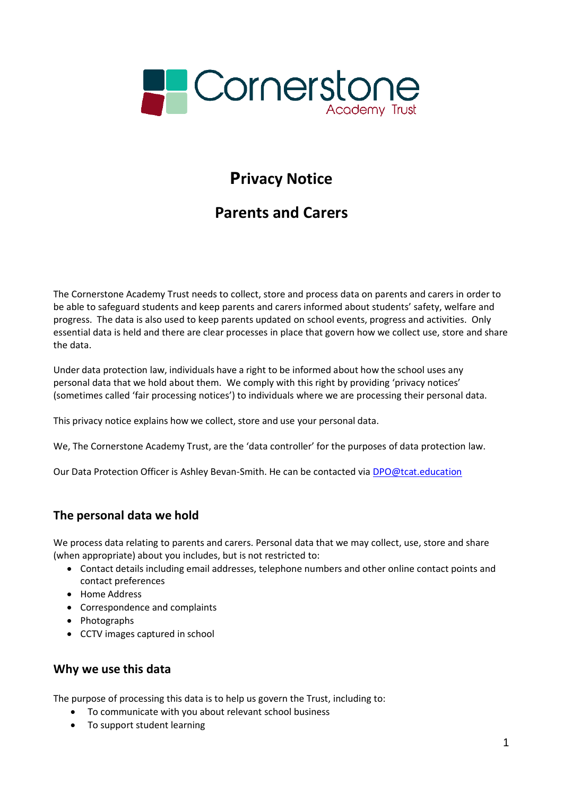

# **Privacy Notice**

# **Parents and Carers**

The Cornerstone Academy Trust needs to collect, store and process data on parents and carers in order to be able to safeguard students and keep parents and carers informed about students' safety, welfare and progress. The data is also used to keep parents updated on school events, progress and activities. Only essential data is held and there are clear processes in place that govern how we collect use, store and share the data.

Under data protection law, individuals have a right to be informed about how the school uses any personal data that we hold about them. We comply with this right by providing 'privacy notices' (sometimes called 'fair processing notices') to individuals where we are processing their personal data.

This privacy notice explains how we collect, store and use your personal data.

We, The Cornerstone Academy Trust, are the 'data controller' for the purposes of data protection law.

Our Data Protection Officer is Ashley Bevan-Smith. He can be contacted via [DPO@tcat.education](mailto:DPO@tcat.education)

### **The personal data we hold**

We process data relating to parents and carers. Personal data that we may collect, use, store and share (when appropriate) about you includes, but is not restricted to:

- Contact details including email addresses, telephone numbers and other online contact points and contact preferences
- Home Address
- Correspondence and complaints
- Photographs
- CCTV images captured in school

### **Why we use this data**

The purpose of processing this data is to help us govern the Trust, including to:

- To communicate with you about relevant school business
- To support student learning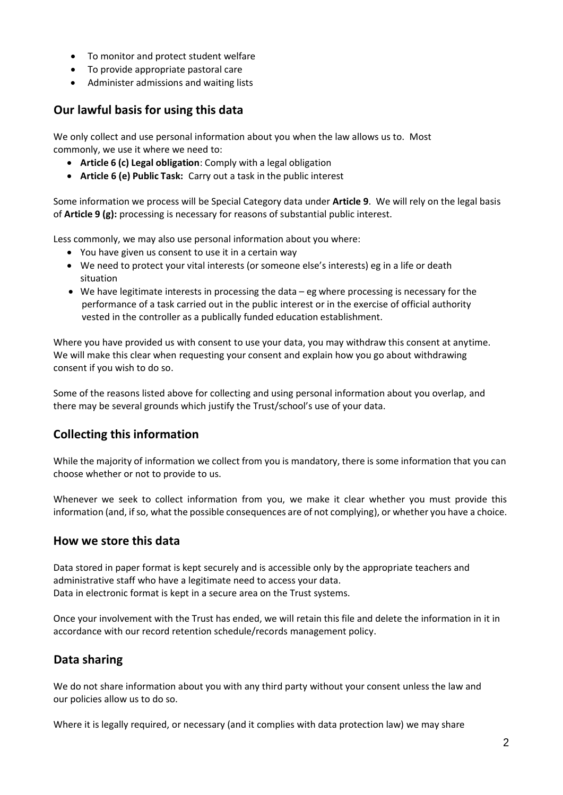- To monitor and protect student welfare
- To provide appropriate pastoral care
- Administer admissions and waiting lists

## **Our lawful basis for using this data**

We only collect and use personal information about you when the law allows us to. Most commonly, we use it where we need to:

- **Article 6 (c) Legal obligation**: Comply with a legal obligation
- **Article 6 (e) Public Task:** Carry out a task in the public interest

Some information we process will be Special Category data under **Article 9**. We will rely on the legal basis of **Article 9 (g):** processing is necessary for reasons of substantial public interest.

Less commonly, we may also use personal information about you where:

- You have given us consent to use it in a certain way
- We need to protect your vital interests (or someone else's interests) eg in a life or death situation
- We have legitimate interests in processing the data eg where processing is necessary for the performance of a task carried out in the public interest or in the exercise of official authority vested in the controller as a publically funded education establishment.

Where you have provided us with consent to use your data, you may withdraw this consent at anytime. We will make this clear when requesting your consent and explain how you go about withdrawing consent if you wish to do so.

Some of the reasons listed above for collecting and using personal information about you overlap, and there may be several grounds which justify the Trust/school's use of your data.

## **Collecting this information**

While the majority of information we collect from you is mandatory, there is some information that you can choose whether or not to provide to us.

Whenever we seek to collect information from you, we make it clear whether you must provide this information (and, if so, what the possible consequences are of not complying), or whether you have a choice.

### **How we store this data**

Data stored in paper format is kept securely and is accessible only by the appropriate teachers and administrative staff who have a legitimate need to access your data. Data in electronic format is kept in a secure area on the Trust systems.

Once your involvement with the Trust has ended, we will retain this file and delete the information in it in accordance with our record retention schedule/records management policy.

### **Data sharing**

We do not share information about you with any third party without your consent unless the law and our policies allow us to do so.

Where it is legally required, or necessary (and it complies with data protection law) we may share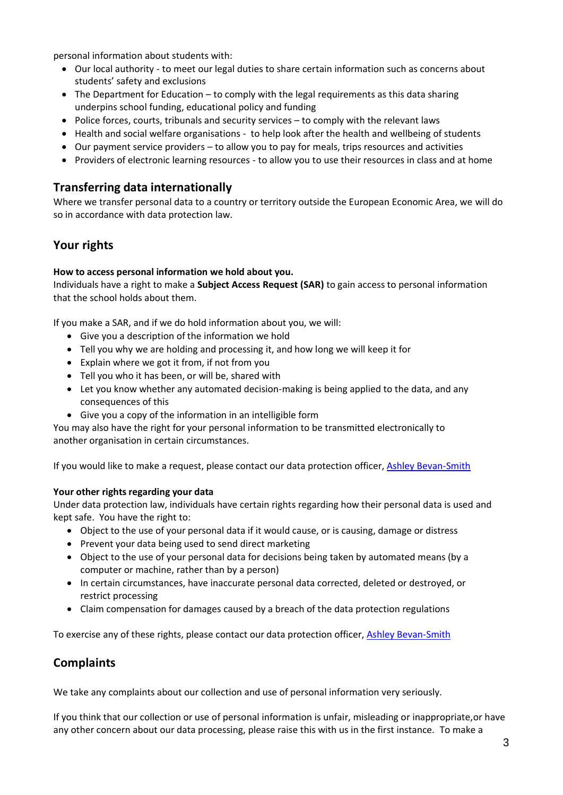personal information about students with:

- Our local authority to meet our legal duties to share certain information such as concerns about students' safety and exclusions
- The Department for Education to comply with the legal requirements as this data sharing underpins school funding, educational policy and funding
- Police forces, courts, tribunals and security services to comply with the relevant laws
- Health and social welfare organisations to help look after the health and wellbeing of students
- Our payment service providers to allow you to pay for meals, trips resources and activities
- Providers of electronic learning resources to allow you to use their resources in class and at home

#### **Transferring data internationally**

Where we transfer personal data to a country or territory outside the European Economic Area, we will do so in accordance with data protection law.

### **Your rights**

#### **How to access personal information we hold about you.**

Individuals have a right to make a **Subject Access Request (SAR)** to gain access to personal information that the school holds about them.

If you make a SAR, and if we do hold information about you, we will:

- Give you a description of the information we hold
- Tell you why we are holding and processing it, and how long we will keep it for
- Explain where we got it from, if not from you
- Tell you who it has been, or will be, shared with
- Let you know whether any automated decision-making is being applied to the data, and any consequences of this
- Give you a copy of the information in an intelligible form

You may also have the right for your personal information to be transmitted electronically to another organisation in certain circumstances.

If you would like to make a request, please contact our data protection officer, [Ashley Bevan-Smith](mailto:DPO@tcat.education)

#### **Your** other rights regarding your data

Under data protection law, individuals have certain rights regarding how their personal data is used and kept safe. You have the right to:

- Object to the use of your personal data if it would cause, or is causing, damage or distress
- Prevent your data being used to send direct marketing
- Object to the use of your personal data for decisions being taken by automated means (by a computer or machine, rather than by a person)
- In certain circumstances, have inaccurate personal data corrected, deleted or destroyed, or restrict processing
- Claim compensation for damages caused by a breach of the data protection regulations

To exercise any of these rights, please contact our data protection officer, [Ashley Bevan-Smith](mailto:DPO@tcat.education)

### **Complaints**

We take any complaints about our collection and use of personal information very seriously.

If you think that our collection or use of personal information is unfair, misleading or inappropriate,or have any other concern about our data processing, please raise this with us in the first instance. To make a